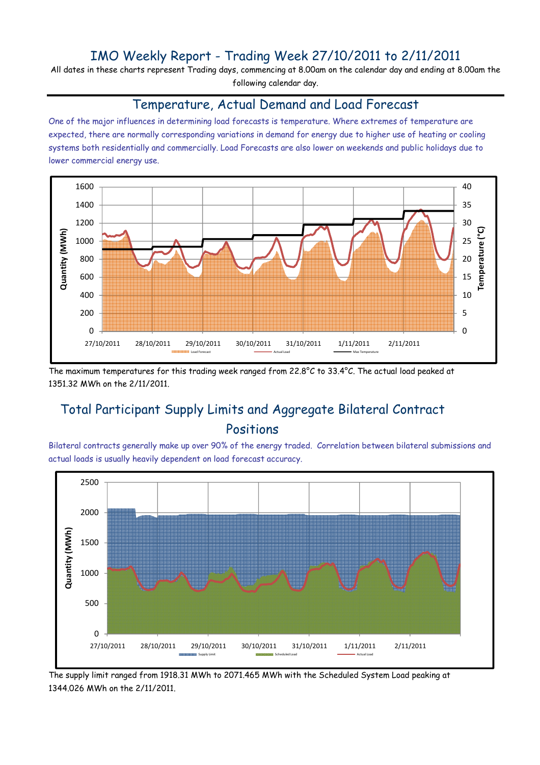### IMO Weekly Report - Trading Week 27/10/2011 to 2/11/2011

All dates in these charts represent Trading days, commencing at 8.00am on the calendar day and ending at 8.00am the following calendar day.

#### Temperature, Actual Demand and Load Forecast

One of the major influences in determining load forecasts is temperature. Where extremes of temperature are expected, there are normally corresponding variations in demand for energy due to higher use of heating or cooling systems both residentially and commercially. Load Forecasts are also lower on weekends and public holidays due to lower commercial energy use.



The maximum temperatures for this trading week ranged from 22.8°C to 33.4°C. The actual load peaked at 1351.32 MWh on the 2/11/2011.

# Total Participant Supply Limits and Aggregate Bilateral Contract Positions

Bilateral contracts generally make up over 90% of the energy traded. Correlation between bilateral submissions and actual loads is usually heavily dependent on load forecast accuracy.



The supply limit ranged from 1918.31 MWh to 2071.465 MWh with the Scheduled System Load peaking at 1344.026 MWh on the 2/11/2011.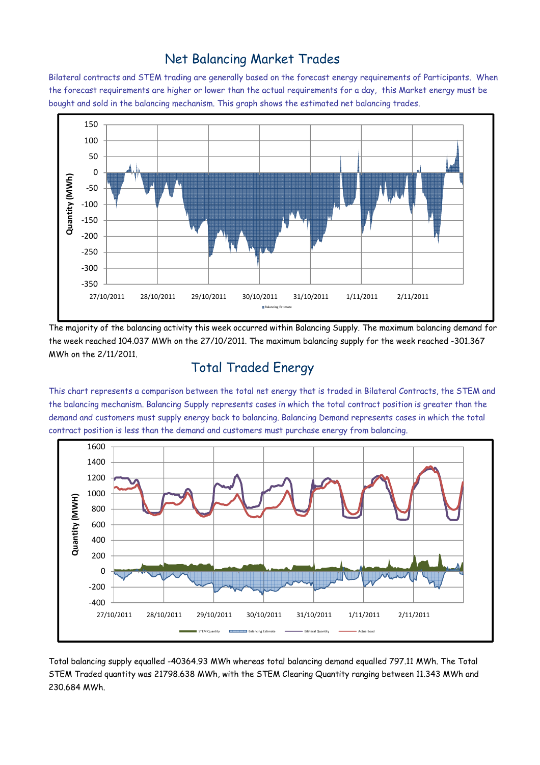#### Net Balancing Market Trades

Bilateral contracts and STEM trading are generally based on the forecast energy requirements of Participants. When the forecast requirements are higher or lower than the actual requirements for a day, this Market energy must be bought and sold in the balancing mechanism. This graph shows the estimated net balancing trades.



The majority of the balancing activity this week occurred within Balancing Supply. The maximum balancing demand for the week reached 104.037 MWh on the 27/10/2011. The maximum balancing supply for the week reached -301.367 MWh on the 2/11/2011.

# Total Traded Energy

This chart represents a comparison between the total net energy that is traded in Bilateral Contracts, the STEM and the balancing mechanism. Balancing Supply represents cases in which the total contract position is greater than the demand and customers must supply energy back to balancing. Balancing Demand represents cases in which the total contract position is less than the demand and customers must purchase energy from balancing.



Total balancing supply equalled -40364.93 MWh whereas total balancing demand equalled 797.11 MWh. The Total STEM Traded quantity was 21798.638 MWh, with the STEM Clearing Quantity ranging between 11.343 MWh and 230.684 MWh.